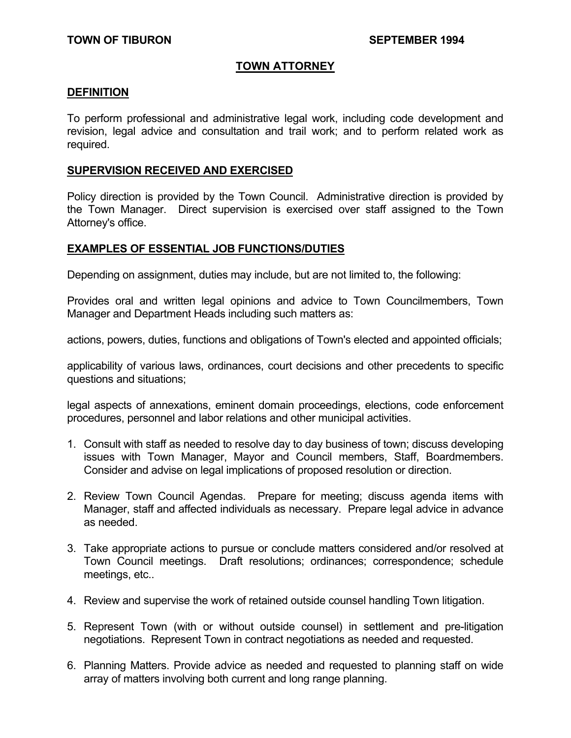### **TOWN ATTORNEY**

#### **DEFINITION**

To perform professional and administrative legal work, including code development and revision, legal advice and consultation and trail work; and to perform related work as required.

### **SUPERVISION RECEIVED AND EXERCISED**

Policy direction is provided by the Town Council. Administrative direction is provided by the Town Manager. Direct supervision is exercised over staff assigned to the Town Attorney's office.

### **EXAMPLES OF ESSENTIAL JOB FUNCTIONS/DUTIES**

Depending on assignment, duties may include, but are not limited to, the following:

Provides oral and written legal opinions and advice to Town Councilmembers, Town Manager and Department Heads including such matters as:

actions, powers, duties, functions and obligations of Town's elected and appointed officials;

applicability of various laws, ordinances, court decisions and other precedents to specific questions and situations;

legal aspects of annexations, eminent domain proceedings, elections, code enforcement procedures, personnel and labor relations and other municipal activities.

- 1. Consult with staff as needed to resolve day to day business of town; discuss developing issues with Town Manager, Mayor and Council members, Staff, Boardmembers. Consider and advise on legal implications of proposed resolution or direction.
- 2. Review Town Council Agendas. Prepare for meeting; discuss agenda items with Manager, staff and affected individuals as necessary. Prepare legal advice in advance as needed.
- 3. Take appropriate actions to pursue or conclude matters considered and/or resolved at Town Council meetings. Draft resolutions; ordinances; correspondence; schedule meetings, etc..
- 4. Review and supervise the work of retained outside counsel handling Town litigation.
- 5. Represent Town (with or without outside counsel) in settlement and pre-litigation negotiations. Represent Town in contract negotiations as needed and requested.
- 6. Planning Matters. Provide advice as needed and requested to planning staff on wide array of matters involving both current and long range planning.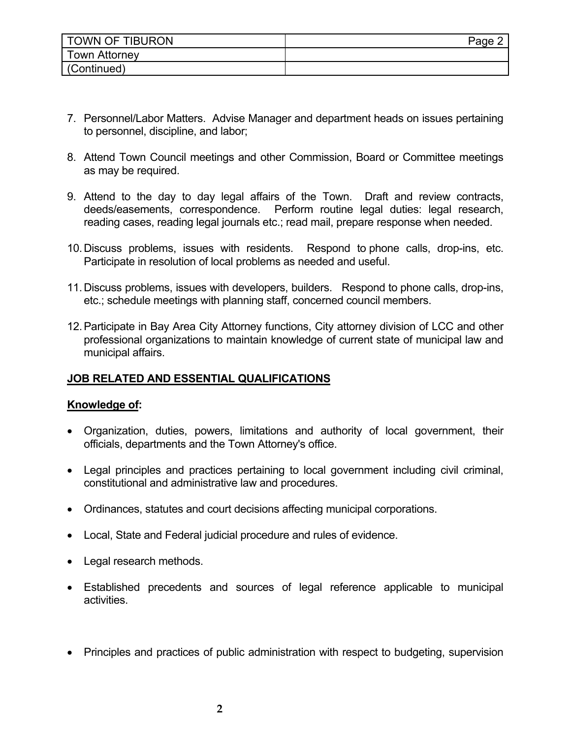| <b>TOWN OF TIBURON</b> | Page |
|------------------------|------|
| Town Attorney          |      |
| (Continued)            |      |

- 7. Personnel/Labor Matters. Advise Manager and department heads on issues pertaining to personnel, discipline, and labor;
- 8. Attend Town Council meetings and other Commission, Board or Committee meetings as may be required.
- 9. Attend to the day to day legal affairs of the Town. Draft and review contracts, deeds/easements, correspondence. Perform routine legal duties: legal research, reading cases, reading legal journals etc.; read mail, prepare response when needed.
- 10. Discuss problems, issues with residents. Respond to phone calls, drop-ins, etc. Participate in resolution of local problems as needed and useful.
- 11. Discuss problems, issues with developers, builders. Respond to phone calls, drop-ins, etc.; schedule meetings with planning staff, concerned council members.
- 12. Participate in Bay Area City Attorney functions, City attorney division of LCC and other professional organizations to maintain knowledge of current state of municipal law and municipal affairs.

# **JOB RELATED AND ESSENTIAL QUALIFICATIONS**

## **Knowledge of:**

- Organization, duties, powers, limitations and authority of local government, their officials, departments and the Town Attorney's office.
- Legal principles and practices pertaining to local government including civil criminal, constitutional and administrative law and procedures.
- Ordinances, statutes and court decisions affecting municipal corporations.
- Local, State and Federal judicial procedure and rules of evidence.
- Legal research methods.
- Established precedents and sources of legal reference applicable to municipal activities.
- Principles and practices of public administration with respect to budgeting, supervision